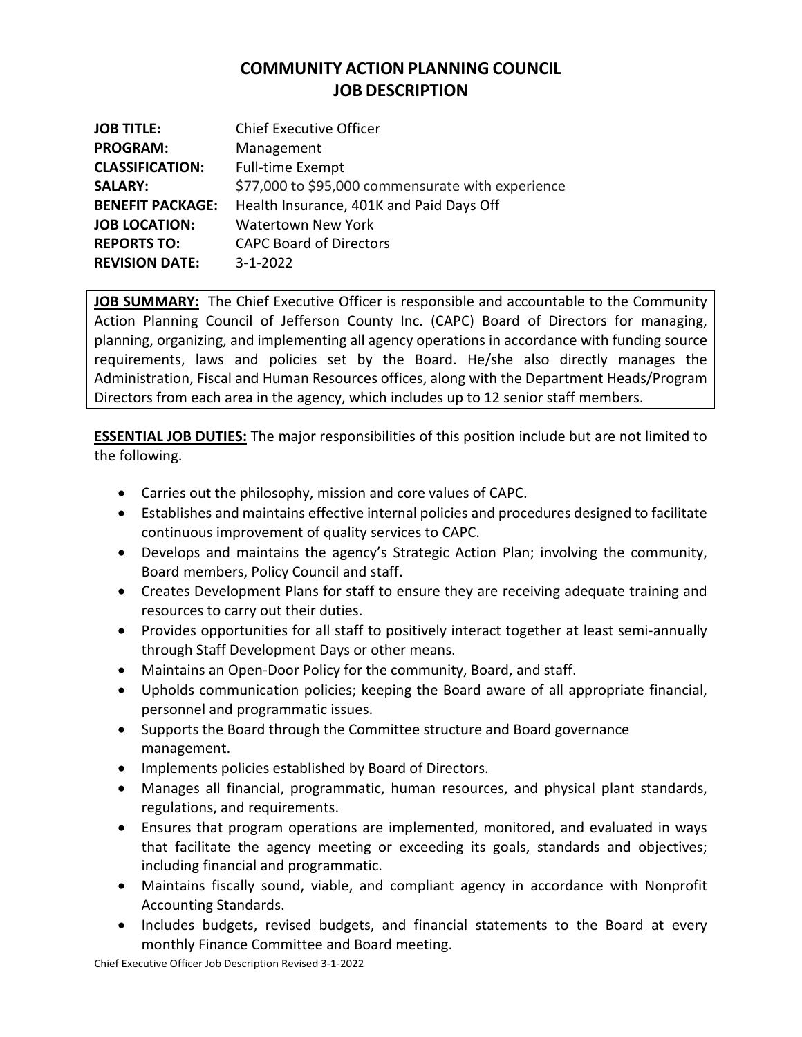# **COMMUNITY ACTION PLANNING COUNCIL JOB DESCRIPTION**

| <b>JOB TITLE:</b>       | <b>Chief Executive Officer</b>                    |
|-------------------------|---------------------------------------------------|
| <b>PROGRAM:</b>         | Management                                        |
| <b>CLASSIFICATION:</b>  | <b>Full-time Exempt</b>                           |
| <b>SALARY:</b>          | \$77,000 to \$95,000 commensurate with experience |
| <b>BENEFIT PACKAGE:</b> | Health Insurance, 401K and Paid Days Off          |
| <b>JOB LOCATION:</b>    | <b>Watertown New York</b>                         |
| <b>REPORTS TO:</b>      | <b>CAPC Board of Directors</b>                    |
| <b>REVISION DATE:</b>   | $3 - 1 - 2022$                                    |

**JOB SUMMARY:** The Chief Executive Officer is responsible and accountable to the Community Action Planning Council of Jefferson County Inc. (CAPC) Board of Directors for managing, planning, organizing, and implementing all agency operations in accordance with funding source requirements, laws and policies set by the Board. He/she also directly manages the Administration, Fiscal and Human Resources offices, along with the Department Heads/Program Directors from each area in the agency, which includes up to 12 senior staff members.

**ESSENTIAL JOB DUTIES:** The major responsibilities of this position include but are not limited to the following.

- Carries out the philosophy, mission and core values of CAPC.
- Establishes and maintains effective internal policies and procedures designed to facilitate continuous improvement of quality services to CAPC.
- Develops and maintains the agency's Strategic Action Plan; involving the community, Board members, Policy Council and staff.
- Creates Development Plans for staff to ensure they are receiving adequate training and resources to carry out their duties.
- Provides opportunities for all staff to positively interact together at least semi-annually through Staff Development Days or other means.
- Maintains an Open-Door Policy for the community, Board, and staff.
- Upholds communication policies; keeping the Board aware of all appropriate financial, personnel and programmatic issues.
- Supports the Board through the Committee structure and Board governance management.
- Implements policies established by Board of Directors.
- Manages all financial, programmatic, human resources, and physical plant standards, regulations, and requirements.
- Ensures that program operations are implemented, monitored, and evaluated in ways that facilitate the agency meeting or exceeding its goals, standards and objectives; including financial and programmatic.
- Maintains fiscally sound, viable, and compliant agency in accordance with Nonprofit Accounting Standards.
- Includes budgets, revised budgets, and financial statements to the Board at every monthly Finance Committee and Board meeting.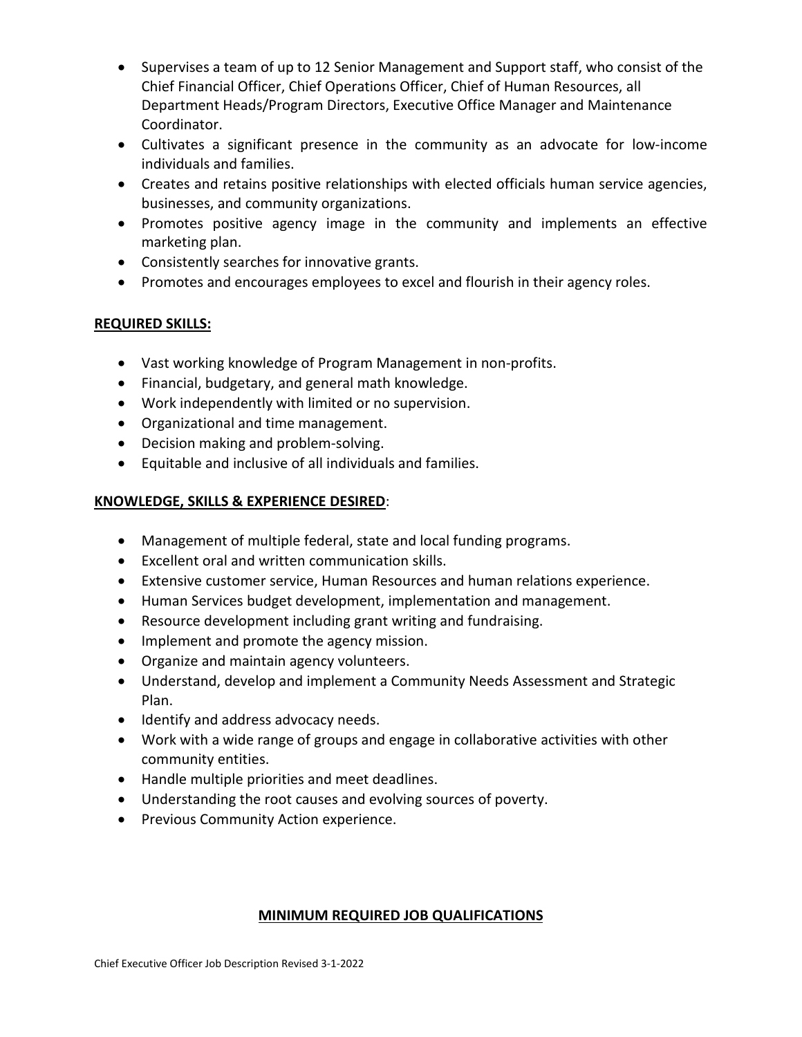- Supervises a team of up to 12 Senior Management and Support staff, who consist of the Chief Financial Officer, Chief Operations Officer, Chief of Human Resources, all Department Heads/Program Directors, Executive Office Manager and Maintenance Coordinator.
- Cultivates a significant presence in the community as an advocate for low-income individuals and families.
- Creates and retains positive relationships with elected officials human service agencies, businesses, and community organizations.
- Promotes positive agency image in the community and implements an effective marketing plan.
- Consistently searches for innovative grants.
- Promotes and encourages employees to excel and flourish in their agency roles.

### **REQUIRED SKILLS:**

- Vast working knowledge of Program Management in non-profits.
- Financial, budgetary, and general math knowledge.
- Work independently with limited or no supervision.
- Organizational and time management.
- Decision making and problem-solving.
- Equitable and inclusive of all individuals and families.

### **KNOWLEDGE, SKILLS & EXPERIENCE DESIRED**:

- Management of multiple federal, state and local funding programs.
- Excellent oral and written communication skills.
- Extensive customer service, Human Resources and human relations experience.
- Human Services budget development, implementation and management.
- Resource development including grant writing and fundraising.
- Implement and promote the agency mission.
- Organize and maintain agency volunteers.
- Understand, develop and implement a Community Needs Assessment and Strategic Plan.
- Identify and address advocacy needs.
- Work with a wide range of groups and engage in collaborative activities with other community entities.
- Handle multiple priorities and meet deadlines.
- Understanding the root causes and evolving sources of poverty.
- Previous Community Action experience.

#### **MINIMUM REQUIRED JOB QUALIFICATIONS**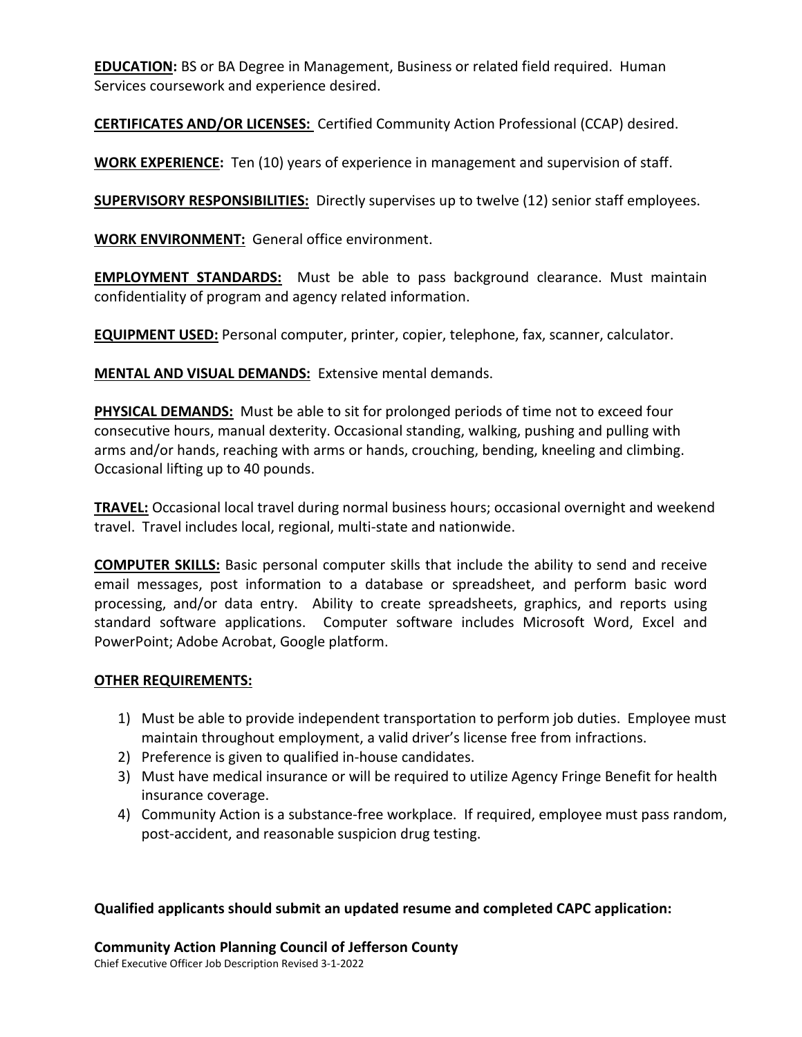**EDUCATION:** BS or BA Degree in Management, Business or related field required. Human Services coursework and experience desired.

**CERTIFICATES AND/OR LICENSES:** Certified Community Action Professional (CCAP) desired.

**WORK EXPERIENCE:** Ten (10) years of experience in management and supervision of staff.

**SUPERVISORY RESPONSIBILITIES:** Directly supervises up to twelve (12) senior staff employees.

**WORK ENVIRONMENT:** General office environment.

**EMPLOYMENT STANDARDS:** Must be able to pass background clearance. Must maintain confidentiality of program and agency related information.

**EQUIPMENT USED:** Personal computer, printer, copier, telephone, fax, scanner, calculator.

**MENTAL AND VISUAL DEMANDS:** Extensive mental demands.

**PHYSICAL DEMANDS:** Must be able to sit for prolonged periods of time not to exceed four consecutive hours, manual dexterity. Occasional standing, walking, pushing and pulling with arms and/or hands, reaching with arms or hands, crouching, bending, kneeling and climbing. Occasional lifting up to 40 pounds.

**TRAVEL:** Occasional local travel during normal business hours; occasional overnight and weekend travel. Travel includes local, regional, multi-state and nationwide.

**COMPUTER SKILLS:** Basic personal computer skills that include the ability to send and receive email messages, post information to a database or spreadsheet, and perform basic word processing, and/or data entry. Ability to create spreadsheets, graphics, and reports using standard software applications. Computer software includes Microsoft Word, Excel and PowerPoint; Adobe Acrobat, Google platform.

## **OTHER REQUIREMENTS:**

- 1) Must be able to provide independent transportation to perform job duties. Employee must maintain throughout employment, a valid driver's license free from infractions.
- 2) Preference is given to qualified in-house candidates.
- 3) Must have medical insurance or will be required to utilize Agency Fringe Benefit for health insurance coverage.
- 4) Community Action is a substance-free workplace. If required, employee must pass random, post-accident, and reasonable suspicion drug testing.

**Qualified applicants should submit an updated resume and completed CAPC application:**

**Community Action Planning Council of Jefferson County**

Chief Executive Officer Job Description Revised 3-1-2022